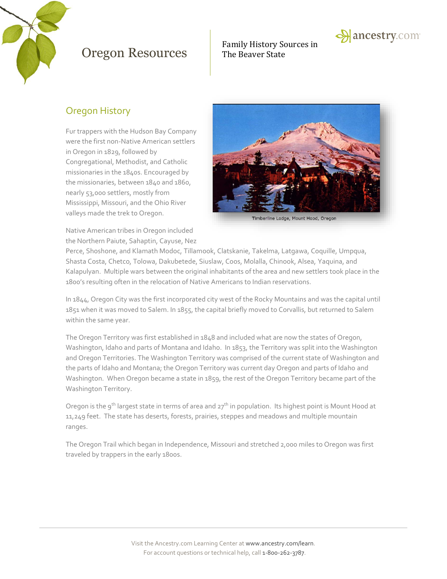

# Family History Sources in



#### Oregon History

Fur trappers with the Hudson Bay Company were the first non-Native American settlers in Oregon in 1829, followed by Congregational, Methodist, and Catholic missionaries in the 1840s. Encouraged by the missionaries, between 1840 and 1860, nearly 53,000 settlers, mostly from Mississippi, Missouri, and the Ohio River valleys made the trek to Oregon.



Timberline Lodge, Mount Hood, Oregon

Native American tribes in Oregon included the Northern Paiute, Sahaptin, Cayuse, Nez

Perce, Shoshone, and Klamath Modoc, Tillamook, Clatskanie, Takelma, Latgawa, Coquille, Umpqua, Shasta Costa, Chetco, Tolowa, Dakubetede, Siuslaw, Coos, Molalla, Chinook, Alsea, Yaquina, and Kalapulyan. Multiple wars between the original inhabitants of the area and new settlers took place in the 1800's resulting often in the relocation of Native Americans to Indian reservations.

In 1844, Oregon City was the first incorporated city west of the Rocky Mountains and was the capital until 1851 when it was moved to Salem. In 1855, the capital briefly moved to Corvallis, but returned to Salem within the same year.

The Oregon Territory was first established in 1848 and included what are now the states of Oregon, Washington, Idaho and parts of Montana and Idaho. In 1853, the Territory was split into the Washington and Oregon Territories. The Washington Territory was comprised of the current state of Washington and the parts of Idaho and Montana; the Oregon Territory was current day Oregon and parts of Idaho and Washington. When Oregon became a state in 1859, the rest of the Oregon Territory became part of the Washington Territory.

Oregon is the 9<sup>th</sup> largest state in terms of area and 27<sup>th</sup> in population. Its highest point is Mount Hood at 11,249 feet. The state has deserts, forests, prairies, steppes and meadows and multiple mountain ranges.

The Oregon Trail which began in Independence, Missouri and stretched 2,000 miles to Oregon was first traveled by trappers in the early 1800s.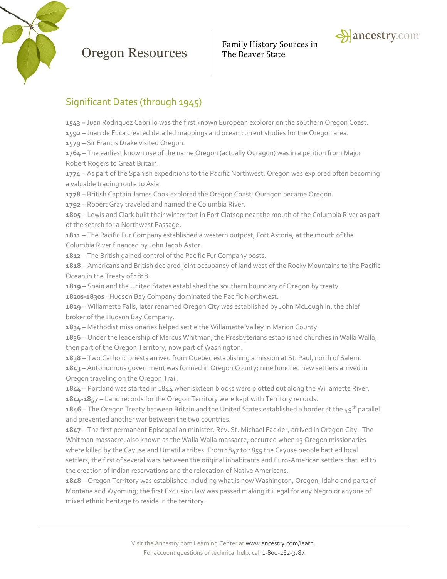

Family History Sources in



### Significant Dates (through 1945)

**1543 –** Juan Rodriquez Cabrillo was the first known European explorer on the southern Oregon Coast.

**1592 –** Juan de Fuca created detailed mappings and ocean current studies for the Oregon area.

**1579** – Sir Francis Drake visited Oregon.

**1764 –** The earliest known use of the name Oregon (actually Ouragon) was in a petition from Major Robert Rogers to Great Britain.

**1774** – As part of the Spanish expeditions to the Pacific Northwest, Oregon was explored often becoming a valuable trading route to Asia.

**1778 –** British Captain James Cook explored the Oregon Coast; Ouragon became Oregon.

**1792** – Robert Gray traveled and named the Columbia River.

**1805** – Lewis and Clark built their winter fort in Fort Clatsop near the mouth of the Columbia River as part of the search for a Northwest Passage.

**1811** – The Pacific Fur Company established a western outpost, Fort Astoria, at the mouth of the Columbia River financed by John Jacob Astor.

**1812** – The British gained control of the Pacific Fur Company posts.

**1818** – Americans and British declared joint occupancy of land west of the Rocky Mountains to the Pacific Ocean in the Treaty of 1818.

**1819** – Spain and the United States established the southern boundary of Oregon by treaty.

**1820s-1830s** –Hudson Bay Company dominated the Pacific Northwest.

**1829** – Willamette Falls, later renamed Oregon City was established by John McLoughlin, the chief broker of the Hudson Bay Company.

**1834** – Methodist missionaries helped settle the Willamette Valley in Marion County.

**1836** – Under the leadership of Marcus Whitman, the Presbyterians established churches in Walla Walla, then part of the Oregon Territory, now part of Washington.

**1838** – Two Catholic priests arrived from Quebec establishing a mission at St. Paul, north of Salem.

**1843** – Autonomous government was formed in Oregon County; nine hundred new settlers arrived in Oregon traveling on the Oregon Trail.

**1844** – Portland was started in 1844 when sixteen blocks were plotted out along the Willamette River.

**1844-1857** – Land records for the Oregon Territory were kept with Territory records.

**1846** – The Oregon Treaty between Britain and the United States established a border at the 49th parallel and prevented another war between the two countries.

**1847** – The first permanent Episcopalian minister, Rev. St. Michael Fackler, arrived in Oregon City. The Whitman massacre, also known as the Walla Walla massacre, occurred when 13 Oregon missionaries where killed by the Cayuse and Umatilla tribes. From 1847 to 1855 the Cayuse people battled local settlers, the first of several wars between the original inhabitants and Euro-American settlers that led to the creation of Indian reservations and the relocation of Native Americans.

**1848** – Oregon Territory was established including what is now Washington, Oregon, Idaho and parts of Montana and Wyoming; the first Exclusion law was passed making it illegal for any Negro or anyone of mixed ethnic heritage to reside in the territory.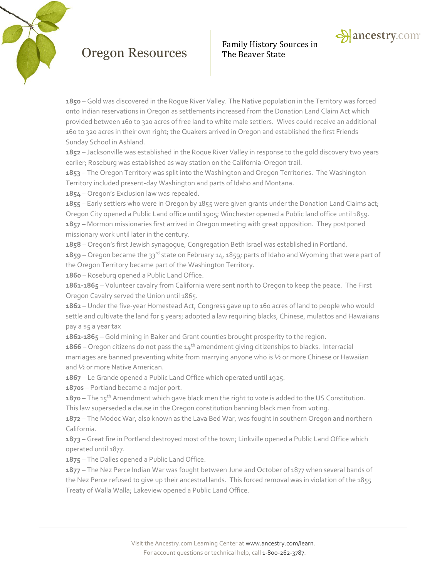



**1850** – Gold was discovered in the Rogue River Valley. The Native population in the Territory was forced onto Indian reservations in Oregon as settlements increased from the Donation Land Claim Act which provided between 160 to 320 acres of free land to white male settlers. Wives could receive an additional 160 to 320 acres in their own right; the Quakers arrived in Oregon and established the first Friends Sunday School in Ashland.

**1852** – Jacksonville was established in the Roque River Valley in response to the gold discovery two years earlier; Roseburg was established as way station on the California-Oregon trail.

**1853** – The Oregon Territory was split into the Washington and Oregon Territories. The Washington Territory included present-day Washington and parts of Idaho and Montana.

**1854** – Oregon's Exclusion law was repealed.

**1855** – Early settlers who were in Oregon by 1855 were given grants under the Donation Land Claims act; Oregon City opened a Public Land office until 1905; Winchester opened a Public land office until 1859. **1857** – Mormon missionaries first arrived in Oregon meeting with great opposition. They postponed missionary work until later in the century.

**1858** – Oregon's first Jewish synagogue, Congregation Beth Israel was established in Portland.

1859 – Oregon became the 33<sup>rd</sup> state on February 14, 1859; parts of Idaho and Wyoming that were part of the Oregon Territory became part of the Washington Territory.

**1860** – Roseburg opened a Public Land Office.

**1861-1865** – Volunteer cavalry from California were sent north to Oregon to keep the peace. The First Oregon Cavalry served the Union until 1865.

**1862** – Under the five-year Homestead Act, Congress gave up to 160 acres of land to people who would settle and cultivate the land for 5 years; adopted a law requiring blacks, Chinese, mulattos and Hawaiians pay a \$5 a year tax

**1862-1865** – Gold mining in Baker and Grant counties brought prosperity to the region.

**1866** – Oregon citizens do not pass the  $14<sup>th</sup>$  amendment giving citizenships to blacks. Interracial marriages are banned preventing white from marrying anyone who is ½ or more Chinese or Hawaiian and ½ or more Native American.

**1867** – Le Grande opened a Public Land Office which operated until 1925.

**1870s** – Portland became a major port.

**1870** – The 15<sup>th</sup> Amendment which gave black men the right to vote is added to the US Constitution. This law superseded a clause in the Oregon constitution banning black men from voting.

**1872** – The Modoc War, also known as the Lava Bed War, was fought in southern Oregon and northern California.

**1873** – Great fire in Portland destroyed most of the town; Linkville opened a Public Land Office which operated until 1877.

**1875** – The Dalles opened a Public Land Office.

**1877** – The Nez Perce Indian War was fought between June and October of 1877 when several bands of the Nez Perce refused to give up their ancestral lands. This forced removal was in violation of the 1855 Treaty of Walla Walla; Lakeview opened a Public Land Office.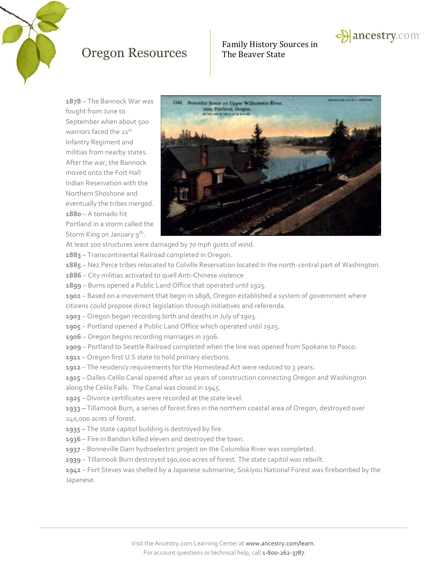

# Family History Sources in

**1878** – The Bannock War was fought from June to September when about 500 warriors faced the 21st Infantry Regiment and militias from nearby states. After the war, the Bannock moved onto the Fort Hall Indian Reservation with the Northern Shoshone and eventually the tribes merged. **1880** – A tornado hit Portland in a storm called the Storm King on January 9<sup>th</sup>.



At least 100 structures were damaged by 70 mph gusts of wind.

- **1883** Transcontinental Railroad completed in Oregon.
- **1885** Nez Perce tribes relocated to Colville Reservation located in the north-central part of Washington.
- **1886** City militias activated to quell Anti-Chinese violence
- **1899** Burns opened a Public Land Office that operated until 1925.
- **1902**  Based on a movement that begin in 1898, Oregon established a system of government where citizens could propose direct legislation through initiatives and referenda.
- **1903** Oregon began recording birth and deaths in July of 1903.
- **1905**  Portland opened a Public Land Office which operated until 1925.
- **1906** Oregon begins recording marriages in 1906.
- **1909** Portland to Seattle Railroad completed when the line was opened from Spokane to Pasco.
- **1911** Oregon first U.S state to hold primary elections.
- 1912 The residency requirements for the Homestead Act were reduced to 3 years.

**1915** – Dalles-Celilo Canal opened after 10 years of construction connecting Oregon and Washington along the Celilo Falls. The Canal was closed in 1945.

**1925** – Divorce certificates were recorded at the state level.

**1933 –** Tillamook Burn, a series of forest fires in the northern coastal area of Oregon, destroyed over 240,000 acres of forest.

- **1935 –** The state capitol building is destroyed by fire.
- **1936** Fire in Bandon killed eleven and destroyed the town.
- **1937** Bonneville Dam hydroelectric project on the Columbia River was completed.
- **1939** Tillamook Burn destroyed 190,000 acres of forest. The state capitol was rebuilt.

**1942** – Fort Steves was shelled by a Japanese submarine; Siskiyou National Forest was firebombed by the Japanese.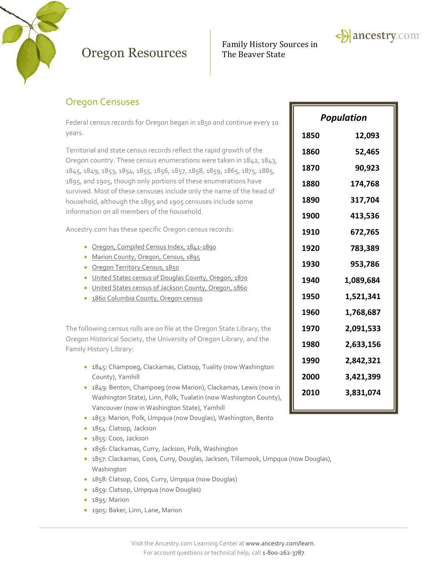

# Family History Sources in



### Oregon Censuses

Federal census records for Oregon began in 1850 and continue every 10 years.

Territorial and state census records reflect the rapid growth of the Oregon country. These census enumerations were taken in 1842, 1843, 1845, 1849, 1853, 1854, 1855, 1856, 1857, 1858, 1859, 1865, 1875, 1885, 1895, and 1905, though only portions of these enumerations have survived. Most of these censuses include only the name of the head of household, although the 1895 and 1905 censuses include some information on all members of the household.

Ancestry.com has these specific Oregon census records:

- [Oregon, Compiled Census Index, 1841-1890](http://search.ancestry.com/search/db.aspx?dbid=3569)
- [Marion County, Oregon, Census, 1895](http://search.ancestry.com/search/db.aspx?dbid=2467)
- **[Oregon Territory Census, 1850](http://search.ancestry.com/search/db.aspx?dbid=3080)**
- [United States census of Douglas County, Oregon, 1870](http://search.ancestry.com/search/db.aspx?dbid=25702)
- [United States census of Jackson County, Oregon, 1860](http://search.ancestry.com/search/db.aspx?dbid=28771)
- [1860 Columbia County, Oregon census](http://search.ancestry.com/search/db.aspx?dbid=28772)

The following census rolls are on file at the Oregon State Library, the Oregon Historical Society, the University of Oregon Library, and the Family History Library:

- 1845: Champoeg, Clackamas, Clatsop, Tuality (now Washington County), Yamhill
- 1849: Benton, Champoeg (now Marion), Clackamas, Lewis (now in Washington State), Linn, Polk, Tualatin (now Washington County), Vancouver (now in Washington State), Yamhill
- 1853: Marion, Polk, Umpqua (now Douglas), Washington, Bento
- 1854: Clatsop, Jackson
- 1855: Coos, Jackson
- 1856: Clackamas, Curry, Jackson, Polk, Washington
- 1857: Clackamas, Coos, Curry, Douglas, Jackson, Tillamook, Umpqua (now Douglas), Washington
- 1858: Clatsop, Coos, Curry, Umpqua (now Douglas)
- 1859: Clatsop, Umpqua (now Douglas)
- 1895: Marion
- 1905: Baker, Linn, Lane, Marion

| Population |           |
|------------|-----------|
| 1850       | 12,093    |
| 1860       | 52,465    |
| 1870       | 90,923    |
| 1880       | 174,768   |
| 1890       | 317,704   |
| 1900       | 413,536   |
| 1910       | 672,765   |
| 1920       | 783,389   |
| 1930       | 953,786   |
| 1940       | 1,089,684 |
| 1950       | 1,521,341 |
| 1960       | 1,768,687 |
| 1970       | 2,091,533 |
| 1980       | 2,633,156 |
| 1990       | 2,842,321 |
| 2000       | 3,421,399 |
| 2010       | 3,831,074 |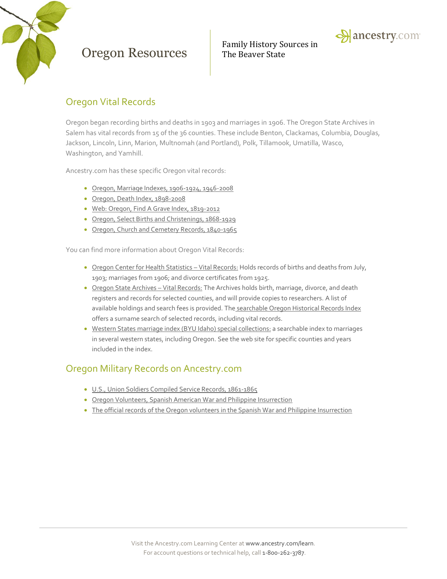

Family History Sources in



### Oregon Vital Records

Oregon began recording births and deaths in 1903 and marriages in 1906. The Oregon State Archives in Salem has vital records from 15 of the 36 counties. These include Benton, Clackamas, Columbia, Douglas, Jackson, Lincoln, Linn, Marion, Multnomah (and Portland), Polk, Tillamook, Umatilla, Wasco, Washington, and Yamhill.

Ancestry.com has these specific Oregon vital records:

- [Oregon, Marriage Indexes, 1906-1924, 1946-2008](http://search.ancestry.com/search/db.aspx?dbid=5193)
- [Oregon, Death Index, 1898-2008](http://search.ancestry.com/search/db.aspx?dbid=5254)
- [Web: Oregon, Find A Grave Index, 1819-2012](http://search.ancestry.com/search/db.aspx?dbid=70622)
- [Oregon, Select Births and Christenings, 1868-1929](http://search.ancestry.com/search/db.aspx?dbid=60106)
- [Oregon, Church and Cemetery Records, 1840-1965](http://search.ancestry.com/search/db.aspx?dbid=2527)

You can find more information about Oregon Vital Records:

- [Oregon Center for Health Statistics](http://public.health.oregon.gov/BirthDeathCertificates/GetVitalRecords/Pages/index.aspx)  Vital Records: Holds records of births and deaths from July, 1903; marriages from 1906; and divorce certificates from 1925.
- [Oregon State Archives](http://arcweb.sos.state.or.us/vital.html)  Vital Records: The Archives holds birth, marriage, divorce, and death registers and records for selected counties, and will provide copies to researchers. A list of available holdings and search fees is provided. The [searchable Oregon Historical Records Index](http://genealogy.state.or.us/) offers a surname search of selected records, including vital records.
- [Western States marriage index \(BYU Idaho\) special collections:](http://abish.byui.edu/specialCollections/westernStates/search.cfm) a searchable index to marriages in several western states, including Oregon. See the web site for specific counties and years included in the index.

#### Oregon Military Records on Ancestry.com

- [U.S., Union Soldiers Compiled Service Records, 1861-1865](http://search.ancestry.com/search/db.aspx?dbid=2344)
- [Oregon Volunteers, Spanish American War and Philippine Insurrection](http://search.ancestry.com/search/db.aspx?dbid=4830)
- [The official records of the Oregon volunteers in the Spanish War and Philippine Insurrection](http://search.ancestry.com/search/db.aspx?dbid=28586)